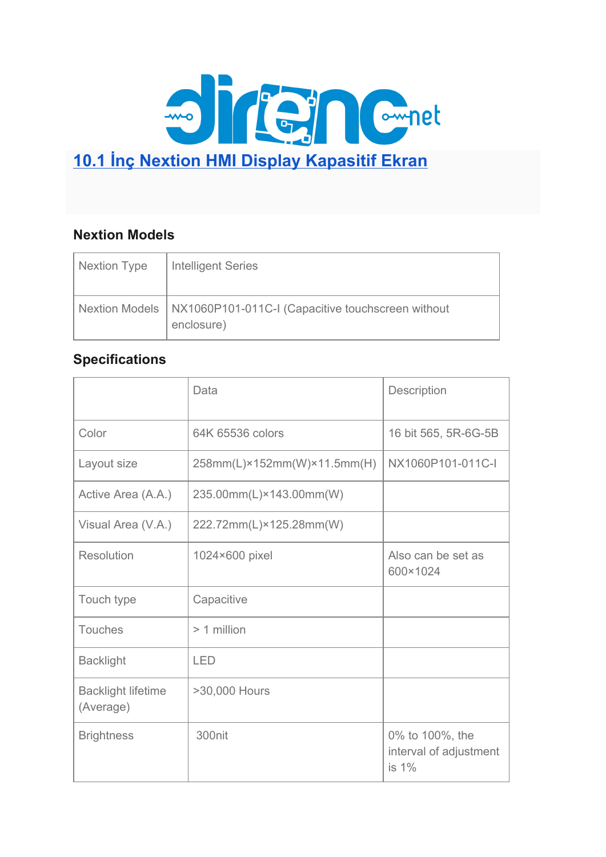

### **Nextion Models**

| Nextion Type | <b>Intelligent Series</b>                                                        |
|--------------|----------------------------------------------------------------------------------|
|              | Nextion Models   NX1060P101-011C-I (Capacitive touchscreen without<br>enclosure) |

#### **Specifications**

|                                        | Data                        | Description                                           |
|----------------------------------------|-----------------------------|-------------------------------------------------------|
| Color                                  | 64K 65536 colors            | 16 bit 565, 5R-6G-5B                                  |
| Layout size                            | 258mm(L)×152mm(W)×11.5mm(H) | NX1060P101-011C-I                                     |
| Active Area (A.A.)                     | 235.00mm(L)×143.00mm(W)     |                                                       |
| Visual Area (V.A.)                     | 222.72mm(L)×125.28mm(W)     |                                                       |
| <b>Resolution</b>                      | 1024×600 pixel              | Also can be set as<br>600×1024                        |
| Touch type                             | Capacitive                  |                                                       |
| <b>Touches</b>                         | > 1 million                 |                                                       |
| <b>Backlight</b>                       | <b>LED</b>                  |                                                       |
| <b>Backlight lifetime</b><br>(Average) | >30,000 Hours               |                                                       |
| <b>Brightness</b>                      | 300nit                      | 0% to 100%, the<br>interval of adjustment<br>is $1\%$ |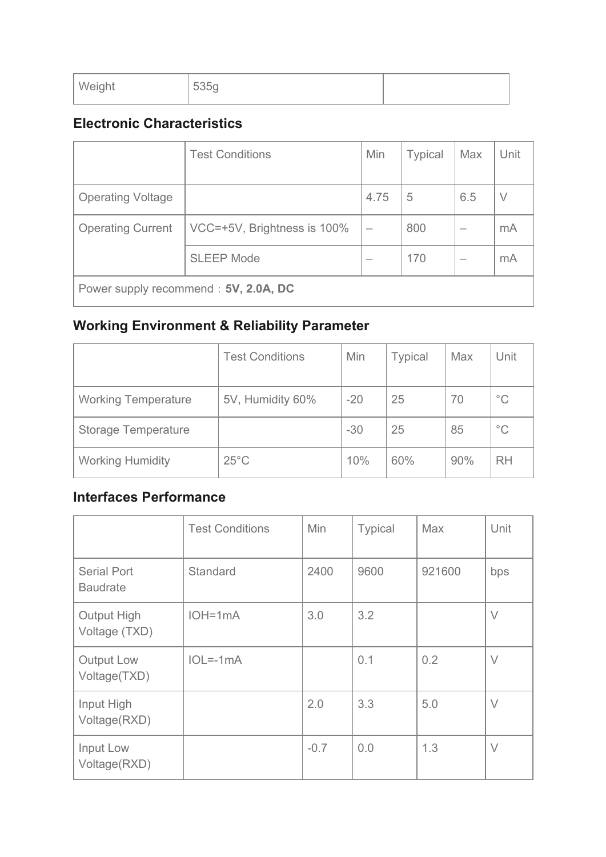| Weight | 535g |  |
|--------|------|--|
|        |      |  |

### **Electronic Characteristics**

|                                       | <b>Test Conditions</b>      | <b>Min</b> | <b>Typical</b> | Max | Unit   |  |
|---------------------------------------|-----------------------------|------------|----------------|-----|--------|--|
| <b>Operating Voltage</b>              |                             | 4.75       | 5              | 6.5 | $\vee$ |  |
| <b>Operating Current</b>              | VCC=+5V, Brightness is 100% |            | 800            |     | mA     |  |
|                                       | <b>SLEEP Mode</b>           |            | 170            |     | mA     |  |
| Power supply recommend : 5V, 2.0A, DC |                             |            |                |     |        |  |

# **Working Environment & Reliability Parameter**

|                            | <b>Test Conditions</b> | Min   | <b>Typical</b> | Max | Unit         |
|----------------------------|------------------------|-------|----------------|-----|--------------|
| <b>Working Temperature</b> | 5V, Humidity 60%       | $-20$ | 25             | 70  | $^{\circ}$ C |
| <b>Storage Temperature</b> |                        | $-30$ | 25             | 85  | $^{\circ}$ C |
| <b>Working Humidity</b>    | $25^{\circ}$ C         | 10%   | 60%            | 90% | <b>RH</b>    |

#### **Interfaces Performance**

|                                       | <b>Test Conditions</b> | <b>Min</b> | <b>Typical</b> | <b>Max</b> | Unit   |
|---------------------------------------|------------------------|------------|----------------|------------|--------|
| <b>Serial Port</b><br><b>Baudrate</b> | <b>Standard</b>        | 2400       | 9600           | 921600     | bps    |
| <b>Output High</b><br>Voltage (TXD)   | $IOH=1mA$              | 3.0        | 3.2            |            | $\vee$ |
| Output Low<br>Voltage(TXD)            | $IOL=-1mA$             |            | 0.1            | 0.2        | $\vee$ |
| Input High<br>Voltage(RXD)            |                        | 2.0        | 3.3            | 5.0        | $\vee$ |
| Input Low<br>Voltage(RXD)             |                        | $-0.7$     | 0.0            | 1.3        | $\vee$ |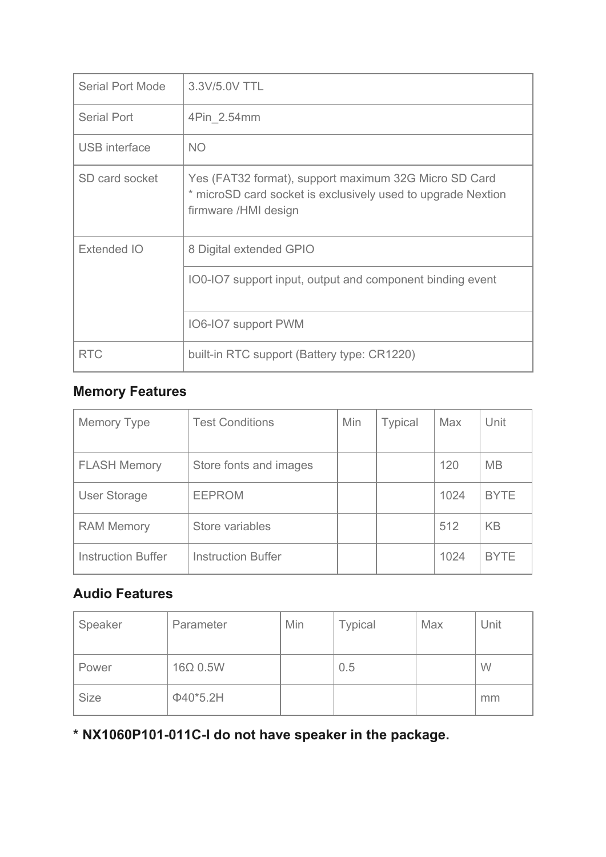| <b>Serial Port Mode</b> | 3.3V/5.0V TTL                                                                                                                                 |
|-------------------------|-----------------------------------------------------------------------------------------------------------------------------------------------|
| <b>Serial Port</b>      | 4Pin 2.54mm                                                                                                                                   |
| <b>USB</b> interface    | <b>NO</b>                                                                                                                                     |
| SD card socket          | Yes (FAT32 format), support maximum 32G Micro SD Card<br>* microSD card socket is exclusively used to upgrade Nextion<br>firmware /HMI design |
| Extended IO             | 8 Digital extended GPIO                                                                                                                       |
|                         | 100-107 support input, output and component binding event                                                                                     |
|                         | IO6-IO7 support PWM                                                                                                                           |
| <b>RTC</b>              | built-in RTC support (Battery type: CR1220)                                                                                                   |

## **Memory Features**

| <b>Memory Type</b>        | <b>Test Conditions</b>    | Min | <b>Typical</b> | Max  | Unit        |
|---------------------------|---------------------------|-----|----------------|------|-------------|
| <b>FLASH Memory</b>       | Store fonts and images    |     |                | 120  | <b>MB</b>   |
| <b>User Storage</b>       | <b>EEPROM</b>             |     |                | 1024 | <b>BYTE</b> |
| <b>RAM Memory</b>         | Store variables           |     |                | 512  | <b>KB</b>   |
| <b>Instruction Buffer</b> | <b>Instruction Buffer</b> |     |                | 1024 | <b>BYTE</b> |

#### **Audio Features**

| Speaker     | Parameter       | Min | <b>Typical</b> | Max | Unit |
|-------------|-----------------|-----|----------------|-----|------|
| Power       | $16\Omega$ 0.5W |     | 0.5            |     | W    |
| <b>Size</b> | $\Phi$ 40*5.2H  |     |                |     | mm   |

**\* NX1060P101-011C-I do not have speaker in the package.**